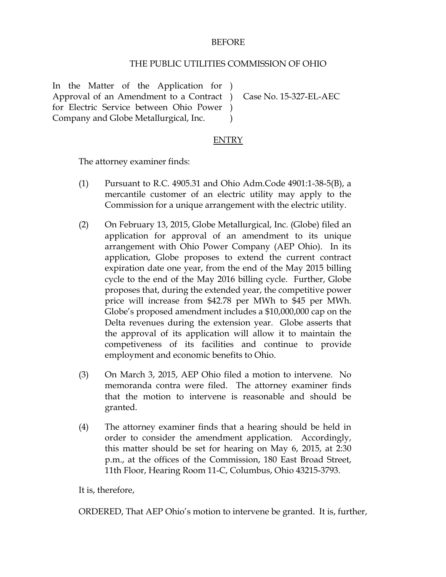## BEFORE

## THE PUBLIC UTILITIES COMMISSION OF OHIO

In the Matter of the Application for ) Approval of an Amendment to a Contract ) for Electric Service between Ohio Power ) Company and Globe Metallurgical, Inc.  $\lambda$ 

Case No. 15-327-EL-AEC

## ENTRY

The attorney examiner finds:

- (1) Pursuant to R.C. 4905.31 and Ohio Adm.Code 4901:1-38-5(B), a mercantile customer of an electric utility may apply to the Commission for a unique arrangement with the electric utility.
- (2) On February 13, 2015, Globe Metallurgical, Inc. (Globe) filed an application for approval of an amendment to its unique arrangement with Ohio Power Company (AEP Ohio). In its application, Globe proposes to extend the current contract expiration date one year, from the end of the May 2015 billing cycle to the end of the May 2016 billing cycle. Further, Globe proposes that, during the extended year, the competitive power price will increase from \$42.78 per MWh to \$45 per MWh. Globe's proposed amendment includes a \$10,000,000 cap on the Delta revenues during the extension year. Globe asserts that the approval of its application will allow it to maintain the competiveness of its facilities and continue to provide employment and economic benefits to Ohio.
- (3) On March 3, 2015, AEP Ohio filed a motion to intervene. No memoranda contra were filed. The attorney examiner finds that the motion to intervene is reasonable and should be granted.
- (4) The attorney examiner finds that a hearing should be held in order to consider the amendment application. Accordingly, this matter should be set for hearing on May 6, 2015, at 2:30 p.m., at the offices of the Commission, 180 East Broad Street, 11th Floor, Hearing Room 11-C, Columbus, Ohio 43215-3793.

It is, therefore,

ORDERED, That AEP Ohio's motion to intervene be granted. It is, further,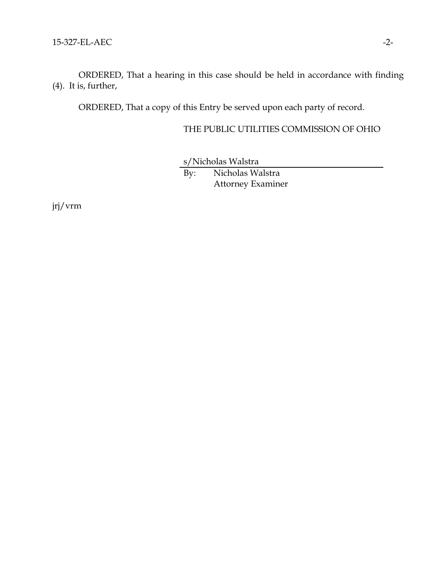ORDERED, That a hearing in this case should be held in accordance with finding (4). It is, further,

ORDERED, That a copy of this Entry be served upon each party of record.

## THE PUBLIC UTILITIES COMMISSION OF OHIO

s/Nicholas Walstra

By: Nicholas Walstra Attorney Examiner

jrj/vrm